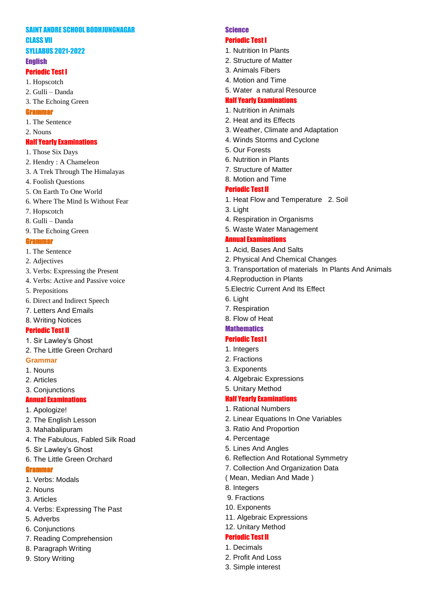# SAINT ANDRE SCHOOL BODHJUNGNAGAR CLASS VII

# SYLLABUS 2021 -2022

# **English**

# Periodic Test I

- 1. Hopscotch
- 2. Gulli Danda
- 3. The Echoing Green
- Grammar
- 1. The Sentence
- 2. Nouns

# Half Yearly Examinations

- 1. Those Six Days
- 2. Hendry : A Chameleon
- 3. A Trek Through The Himalayas
- 4. Foolish Questions
- 5. On Earth To One World
- 6. Where The Mind Is Without Fear
- 7. Hopscotch
- 8. Gulli Danda
- 9. The Echoing Green

## **Gram**

- 1. The Sentence
- 2. Adjectives
- 3. Verbs: Expressing the Present
- 4. Verbs: Active and Passive voice
- 5. Prepositions
- 6. Direct and Indirect Speech
- 7. Letters And Emails
- 8. Writing Notices

# Periodic Test II

- 1. Sir Lawley's Ghost
- 2. The Little Green Orchard
- **Grammar**
- 1. Nouns
- 2. Articles
- 3. Conjunctions

# Annual Examinations

- 1. Apologize!
- 2. The English Lesson
- 3. Mahabalipuram
- 4. The Fabulous, Fabled Silk Road
- 5. Sir Lawley's Ghost
- 6. The Little Green Orchard

## **Grammo**

- 1. Verbs: Modals
- 2. Nouns
- 3. Articles
- 4. Verbs: Expressing The Past
- 5. Adverbs
- 6. Conjunctions
- 7. Reading Comprehension
- 8. Paragraph Writing
- 9. Story Writing

# Science

## Periodic Test I

- 1. Nutrition In Plants
- 2. Structure of Matter
- 3. Animals Fibers
- 4. Motion and Time
- 5. Water a natural Resource

# Half Yearly Examinations

- 1. Nutrition in Animals
- 2. Heat and its Effects
- 3. Weather, Climate and Adaptation
- 4. Winds Storms and Cyclone
- 5. Our Forests
- 6. Nutrition in Plants
- 7. Structure of Matter
- 8. Motion and Time

# Periodic Test II

- 1. Heat Flow and Temperature 2. Soil
- 3. Light
- 4. Respiration in Organisms
- 5. Waste Water Management

# Annual Examinations

- 1. Acid, Bases And Salts
- 2. Physical And Chemical Changes
- 3. Transportation of materials In Plants And Animals
- 4.Reproduction in Plants
- 5.Electric Current And Its Effect
- 6. Light
- 7. Respiration
- 8. Flow of Heat

### **Mathematics**

# Periodic Test I

- 1. Integers
- 2. Fractions
- 3. Exponents
- 4. Algebraic Expressions

### 5. Unitary Method

# Half Yearly Examinations

- 1. Rational Numbers
- 2. Linear Equations In One Variables
- 3. Ratio And Proportion
- 4. Percentage
- 5. Lines And Angles
- 6. Reflection And Rotational Symmetry
- 7. Collection And Organization Data
- ( Mean, Median And Made )

11. Algebraic Expressions

8. Integers 9. Fractions

10. Exponents

12. Unitary Method Periodic Test II 1. Decimals 2. Profit And Loss 3. Simple interest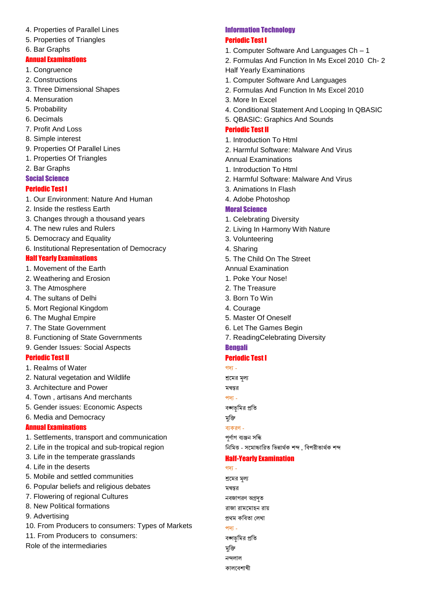- 4. Properties of Parallel Lines
- 5. Properties of Triangles
- 6. Bar Graphs

#### Annual Examinations

- 1. Congruence
- 2. Constructions
- 3. Three Dimensional Shapes
- 4. Mensuration
- 5. Probability
- 6. Decimals
- 7. Profit And Loss
- 8. Simple interest
- 9. Properties Of Parallel Lines
- 1. Properties Of Triangles
- 2. Bar Graphs

### Social Science

### Periodic Test I

- 1. Our Environment: Nature And Human
- 2. Inside the restless Earth
- 3. Changes through a thousand years
- 4. The new rules and Rulers
- 5. Democracy and Equality
- 6. Institutional Representation of Democracy

### Half Yearly Examinations

- 1. Movement of the Earth
- 2. Weathering and Erosion
- 3. The Atmosphere
- 4. The sultans of Delhi
- 5. Mort Regional Kingdom
- 6. The Mughal Empire
- 7. The State Government
- 8. Functioning of State Governments
- 9. Gender Issues: Social Aspects

### Periodic Test II

- 1. Realms of Water
- 2. Natural vegetation and Wildlife
- 3. Architecture and Power
- 4. Town , artisans And merchants
- 5. Gender issues: Economic Aspects
- 6. Media and Democracy

#### Annual Examinations

- 1. Settlements, transport and communication
- 2. Life in the tropical and sub-tropical region
- 3. Life in the temperate grasslands
- 4. Life in the deserts
- 5. Mobile and settled communities
- 6. Popular beliefs and religious debates
- 7. Flowering of regional Cultures
- 8. New Political formations
- 9. Advertising
- 10. From Producers to consumers: Types of Markets
- 11. From Producers to consumers:

Role of the intermediaries

### Information Technology Periodic Test I

- 1. Computer Software And Languages Ch 1
- 2. Formulas And Function In Ms Excel 2010 Ch- 2 Half Yearly Examinations
- 1. Computer Software And Languages
- 2. Formulas And Function In Ms Excel 2010
- 3. More In Excel
- 4. Conditional Statement And Looping In QBASIC
- 5. QBASIC: Graphics And Sounds

### Periodic Test II

- 1. Introduction To Html
- 2. Harmful Software: Malware And Virus
- Annual Examinations
- 1. Introduction To Html
- 2. Harmful Software: Malware And Virus
- 3. Animations In Flash
- 4. Adobe Photoshop

### Moral Science

- 1. Celebrating Diversity
- 2. Living In Harmony With Nature
- 3. Volunteering
- 4. Sharing
- 5. The Child On The Street
- Annual Examination
- 1. Poke Your Nose!
- 2. The Treasure
- 3. Born To Win
- 4. Courage
- 5. Master Of Oneself
- 6. Let The Games Begin
- 7. ReadingCelebrating Diversity

#### Bengali

# Periodic Test I

গদ্য -

শ্রমের মূল্য

মন্বন্তর

পদ্য -

বজ্ঞাভূমির প্রতি

মুক্তি

ব্যকরণ -

পৰ্ণাগ ব্যঞ্জন সন্ধি নিমিত্ত - সমোচ্চারিত ভিন্নার্থক শব্দ , বিপরীতার্থক শব্দ

#### Half-Yearly Examination

গদ্য - শ্রমের মূল্য মন্বন্তর নবজাগরণ অগ্রদৃত রাজা রামমোহন রায় প্ৰথম কবিতা লেখা পদ্য - বজ্ঞাভূমির প্রতি মৃক্তি নন্দলাল কালবেশাখী